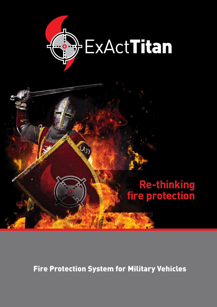



Fire Protection System for Military Vehicles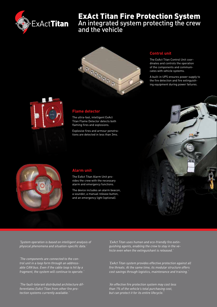

# ExAct Titan Fire Protection System

An integrated system protecting the crew and the vehicle



## **Control unit**

The ExAct Titan Control Unit coordinates and controls the operation of the components and communicates with vehicle systems.

A built-in UPS ensures power supply to the fire detection and fire extinguishing equipment during power failures.



#### **Flame detector**

The ultra-fast, intelligent ExAct Titan Flame Detector detects both flaming fires and explosions.

Explosive fires and armour penetrations are detected in less than 3ms.





#### **Alarm unit**

The ExAct Titan Alarm Unit provides the crew with the necessary alarm and emergency functions.

The device includes an alarm beacon, a sounder, a manual release button, and an emergency light (optional).

*'System operation is based on intelligent analysis of physical phenomena and situation-specific data.'*

*'The components are connected to the control unit in a loop form through an addressable CAN bus. Even if the cable loop is hit by a fragment, the system will continue to operate.'*

*'The fault-tolerant distributed architecture differentiates ExAct Titan from other fire protection systems currently available.'*

*'ExAct Titan uses human and eco-friendly fire extinguishing agents, enabling the crew to stay in the vehicle even when the extinguishant is released.'*

*'ExAct Titan system provides effective protection against all fire threats. At the same time, its modular structure offers cost savings through logistics, maintenance and training.'*

*'An effective fire protection system may cost less than 1% of the vehicle's total purchasing cost, but can protect it for its entire lifecycle.'*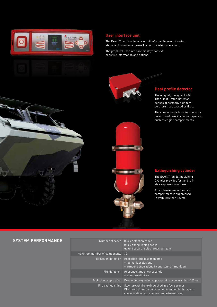

### **User interface unit**

The ExAct Titan User Interface Unit informs the user of system status and provides a means to control system operation.

The graphical user interface displays contextsensitive information and options.



# **Heat profile detector**

The uniquely designed ExAct Titan Heat Profile Detector senses abnormally high temperature rises caused by fires.

The component is ideal for the early detection of fires in confined spaces, such as engine compartments.

**Extinguishing cylinder**

The ExAct Titan Extinguishing Cylinder provides fast and reliable suppression of fires.

An explosive fire in the crew compartment is suppressed in even less than 120ms.

## **SYSTEM PERFORMANCE**

|                              | 0 to 4 extinguishing zones<br>up to 4 separate discharges per zone                                                                                      |
|------------------------------|---------------------------------------------------------------------------------------------------------------------------------------------------------|
| Maximum number of components | 32                                                                                                                                                      |
| <b>Explosion detection</b>   | Response time less than 3ms<br>• fuel tank explosions<br>· armour penetrations by anti-tank ammunition                                                  |
| Fire detection               | Response time a few seconds<br>• slow-growth fires                                                                                                      |
| <b>Explosion suppression</b> | Developing explosion suppressed in even less than 120ms                                                                                                 |
| Fire extinguishing           | Slow-growth fire extinguished in a few seconds<br>Discharge time can be extended to maintain the agent<br>concentration (e.g. engine compartment fires) |

Number of zones 0 to 4 detection zones